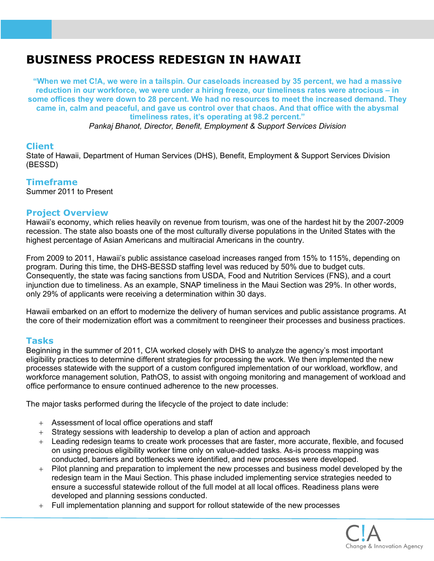# **BUSINESS PROCESS REDESIGN IN HAWAII**

**"When we met C!A, we were in a tailspin. Our caseloads increased by 35 percent, we had a massive reduction in our workforce, we were under a hiring freeze, our timeliness rates were atrocious – in some offices they were down to 28 percent. We had no resources to meet the increased demand. They came in, calm and peaceful, and gave us control over that chaos. And that office with the abysmal timeliness rates, it's operating at 98.2 percent."**

*Pankaj Bhanot, Director, Benefit, Employment & Support Services Division*

# **Client**

State of Hawaii, Department of Human Services (DHS), Benefit, Employment & Support Services Division (BESSD)

# **Timeframe**

Summer 2011 to Present

### **Project Overview**

Hawaii's economy, which relies heavily on revenue from tourism, was one of the hardest hit by the 2007-2009 recession. The state also boasts one of the most culturally diverse populations in the United States with the highest percentage of Asian Americans and multiracial Americans in the country.

From 2009 to 2011, Hawaii's public assistance caseload increases ranged from 15% to 115%, depending on program. During this time, the DHS-BESSD staffing level was reduced by 50% due to budget cuts. Consequently, the state was facing sanctions from USDA, Food and Nutrition Services (FNS), and a court injunction due to timeliness. As an example, SNAP timeliness in the Maui Section was 29%. In other words, only 29% of applicants were receiving a determination within 30 days.

Hawaii embarked on an effort to modernize the delivery of human services and public assistance programs. At the core of their modernization effort was a commitment to reengineer their processes and business practices.

### **Tasks**

Beginning in the summer of 2011, C!A worked closely with DHS to analyze the agency's most important eligibility practices to determine different strategies for processing the work. We then implemented the new processes statewide with the support of a custom configured implementation of our workload, workflow, and workforce management solution, PathOS, to assist with ongoing monitoring and management of workload and office performance to ensure continued adherence to the new processes.

The major tasks performed during the lifecycle of the project to date include:

- + Assessment of local office operations and staff
- + Strategy sessions with leadership to develop a plan of action and approach
- + Leading redesign teams to create work processes that are faster, more accurate, flexible, and focused on using precious eligibility worker time only on value-added tasks. As-is process mapping was conducted, barriers and bottlenecks were identified, and new processes were developed.
- + Pilot planning and preparation to implement the new processes and business model developed by the redesign team in the Maui Section. This phase included implementing service strategies needed to ensure a successful statewide rollout of the full model at all local offices. Readiness plans were developed and planning sessions conducted.
- + Full implementation planning and support for rollout statewide of the new processes